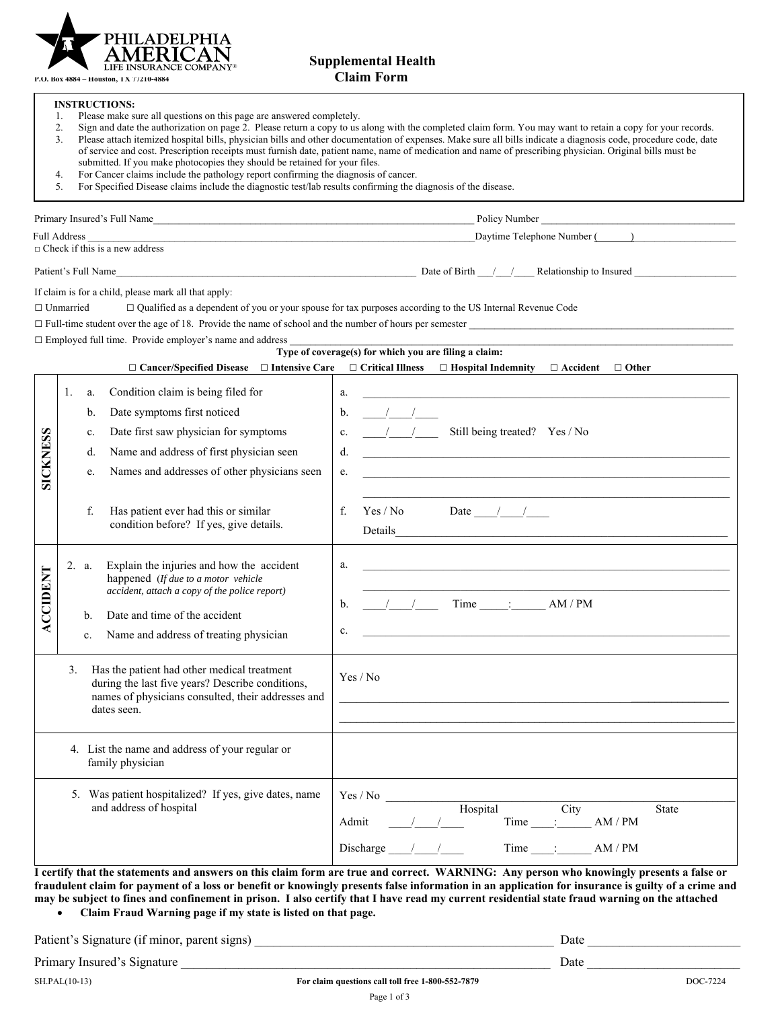

**P.O. Box 4884 – Houston, TX 77210-4884 Claim Form**

## **Supplemental Health**

 **INSTRUCTIONS:** 

|  |  |  |  | Please make sure all questions on this page are answered completely. |
|--|--|--|--|----------------------------------------------------------------------|

- 2. Sign and date the authorization on page 2. Please return a copy to us along with the completed claim form. You may want to retain a copy for your records.<br>3. Please attach itemized hospital bills, physician bills and ot Please attach itemized hospital bills, physician bills and other documentation of expenses. Make sure all bills indicate a diagnosis code, procedure code, date of service and cost. Prescription receipts must furnish date, patient name, name of medication and name of prescribing physician. Original bills must be submitted. If you make photocopies they should be retained for your files.
- 4. For Cancer claims include the pathology report confirming the diagnosis of cancer.
- 5. For Specified Disease claims include the diagnostic test/lab results confirming the diagnosis of the disease.

| Primary Insured's Full Name                                  | Policy Number                            |
|--------------------------------------------------------------|------------------------------------------|
| <b>Full Address</b><br>$\Box$ Check if this is a new address | Daytime Telephone Number (               |
| Patient's Full Name                                          | Date of Birth<br>Relationship to Insured |
| If claim is for a child, please mark all that apply:         |                                          |

□ Unmarried □ Qualified as a dependent of you or your spouse for tax purposes according to the US Internal Revenue Code

 $\Box$  Full-time student over the age of 18. Provide the name of school and the number of hours per semester

|                 |                |                   |                                                                                                                                                                                                              | Type of coverage(s) for which you are filing a claim:                                                                                                                                         |
|-----------------|----------------|-------------------|--------------------------------------------------------------------------------------------------------------------------------------------------------------------------------------------------------------|-----------------------------------------------------------------------------------------------------------------------------------------------------------------------------------------------|
|                 |                |                   | $\Box$ Cancer/Specified Disease $\Box$ Intensive Care $\Box$ Critical Illness                                                                                                                                | $\Box$ Hospital Indemnity<br>$\Box$ Accident<br>$\Box$ Other                                                                                                                                  |
|                 | 1.             | a.<br>b.          | Condition claim is being filed for<br>Date symptoms first noticed                                                                                                                                            | a.<br>$\frac{1}{2}$<br>$b$                                                                                                                                                                    |
|                 |                | c.                | Date first saw physician for symptoms                                                                                                                                                                        | Still being treated? Yes / No<br>$\frac{1}{2}$<br>c.                                                                                                                                          |
| <b>SICKNESS</b> |                | d.<br>e.          | Name and address of first physician seen<br>Names and addresses of other physicians seen                                                                                                                     | d.<br><u> 1980 - Jan Barat, margaret amerikan basal dan berasal dan berasal dan berasal dan berasal dan berasal dan be</u><br>e.                                                              |
|                 |                | f.                | Has patient ever had this or similar<br>condition before? If yes, give details.                                                                                                                              | Date $/$ /<br>$f_{\cdot}$<br>Yes / No<br>Details                                                                                                                                              |
| <b>CCIDENT</b>  |                | 2. a.<br>b.<br>c. | Explain the injuries and how the accident<br>happened (If due to a motor vehicle<br>accident, attach a copy of the police report)<br>Date and time of the accident<br>Name and address of treating physician | a.<br><u> 1989 - Jan James James James James James James James James James James James James James James James James J</u><br>$Time$ $\qquad$ : $\qquad$ AM / PM<br>$\frac{1}{2}$<br>b.<br>c. |
|                 | 3 <sub>1</sub> |                   | Has the patient had other medical treatment<br>during the last five years? Describe conditions,<br>names of physicians consulted, their addresses and<br>dates seen.                                         | Yes / No<br>the contract of the contract of the contract of the contract of the contract of the contract of the contract of                                                                   |
|                 |                |                   | 4. List the name and address of your regular or<br>family physician                                                                                                                                          |                                                                                                                                                                                               |
|                 |                |                   | 5. Was patient hospitalized? If yes, give dates, name<br>and address of hospital                                                                                                                             | Yes / No<br>Hospital<br><b>State</b><br>City<br>AM/PM<br>Admit<br>Time<br>Discharge<br>Time<br>AM/PM                                                                                          |

**I certify that the statements and answers on this claim form are true and correct. WARNING: Any person who knowingly presents a false or fraudulent claim for payment of a loss or benefit or knowingly presents false information in an application for insurance is guilty of a crime and may be subject to fines and confinement in prison. I also certify that I have read my current residential state fraud warning on the attached Claim Fraud Warning page if my state is listed on that page.** 

| Patient's Signature (if minor, parent signs) |                                                   | Date |          |
|----------------------------------------------|---------------------------------------------------|------|----------|
| Primary Insured's Signature                  |                                                   | Date |          |
| SH.PAL(10-13)                                | For claim questions call toll free 1-800-552-7879 |      | DOC-7224 |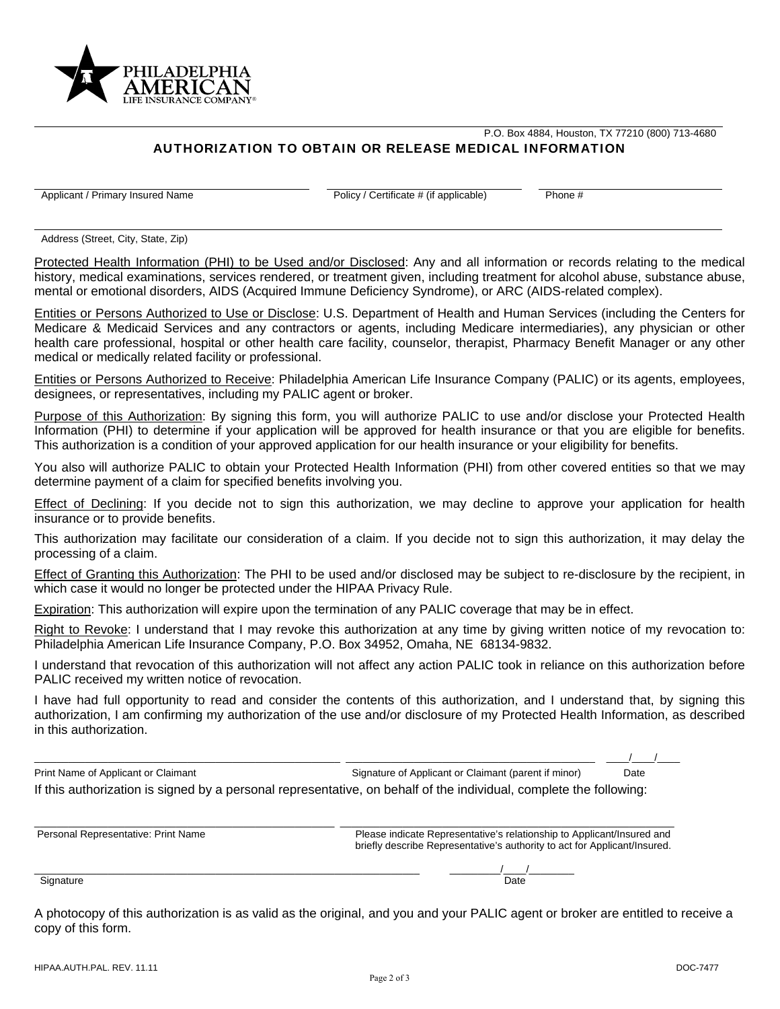

P.O. Box 4884, Houston, TX 77210 (800) 713-4680

## AUTHORIZATION TO OBTAIN OR RELEASE MEDICAL INFORMATION

Applicant / Primary Insured Name Policy / Certificate # (if applicable) Phone #

Address (Street, City, State, Zip)

Protected Health Information (PHI) to be Used and/or Disclosed: Any and all information or records relating to the medical history, medical examinations, services rendered, or treatment given, including treatment for alcohol abuse, substance abuse, mental or emotional disorders, AIDS (Acquired Immune Deficiency Syndrome), or ARC (AIDS-related complex).

Entities or Persons Authorized to Use or Disclose: U.S. Department of Health and Human Services (including the Centers for Medicare & Medicaid Services and any contractors or agents, including Medicare intermediaries), any physician or other health care professional, hospital or other health care facility, counselor, therapist, Pharmacy Benefit Manager or any other medical or medically related facility or professional.

Entities or Persons Authorized to Receive: Philadelphia American Life Insurance Company (PALIC) or its agents, employees, designees, or representatives, including my PALIC agent or broker.

Purpose of this Authorization: By signing this form, you will authorize PALIC to use and/or disclose your Protected Health Information (PHI) to determine if your application will be approved for health insurance or that you are eligible for benefits. This authorization is a condition of your approved application for our health insurance or your eligibility for benefits.

You also will authorize PALIC to obtain your Protected Health Information (PHI) from other covered entities so that we may determine payment of a claim for specified benefits involving you.

Effect of Declining: If you decide not to sign this authorization, we may decline to approve your application for health insurance or to provide benefits.

This authorization may facilitate our consideration of a claim. If you decide not to sign this authorization, it may delay the processing of a claim.

Effect of Granting this Authorization: The PHI to be used and/or disclosed may be subject to re-disclosure by the recipient, in which case it would no longer be protected under the HIPAA Privacy Rule.

Expiration: This authorization will expire upon the termination of any PALIC coverage that may be in effect.

Right to Revoke: I understand that I may revoke this authorization at any time by giving written notice of my revocation to: Philadelphia American Life Insurance Company, P.O. Box 34952, Omaha, NE 68134-9832.

I understand that revocation of this authorization will not affect any action PALIC took in reliance on this authorization before PALIC received my written notice of revocation.

I have had full opportunity to read and consider the contents of this authorization, and I understand that, by signing this authorization, I am confirming my authorization of the use and/or disclosure of my Protected Health Information, as described in this authorization.

Print Name of Applicant or Claimant Chaimant Signature of Applicant or Claimant (parent if minor) Date If this authorization is signed by a personal representative, on behalf of the individual, complete the following:

\_\_\_\_\_\_\_\_\_\_\_\_\_\_\_\_\_\_\_\_\_\_\_\_\_\_\_\_\_\_\_\_\_\_\_\_\_\_\_\_\_\_\_\_\_\_\_\_\_\_\_\_\_\_ \_\_\_\_\_\_\_\_\_\_\_\_\_\_\_\_\_\_\_\_\_\_\_\_\_\_\_\_\_\_\_\_\_\_\_\_\_\_\_\_\_\_\_\_ \_\_\_\_/\_\_\_\_/\_\_\_\_

| Personal Representative: Print Name | Please indicate Representative's relationship to Applicant/Insured and<br>briefly describe Representative's authority to act for Applicant/Insured. |
|-------------------------------------|-----------------------------------------------------------------------------------------------------------------------------------------------------|
|                                     |                                                                                                                                                     |
| Signature                           | Date                                                                                                                                                |

A photocopy of this authorization is as valid as the original, and you and your PALIC agent or broker are entitled to receive a copy of this form.